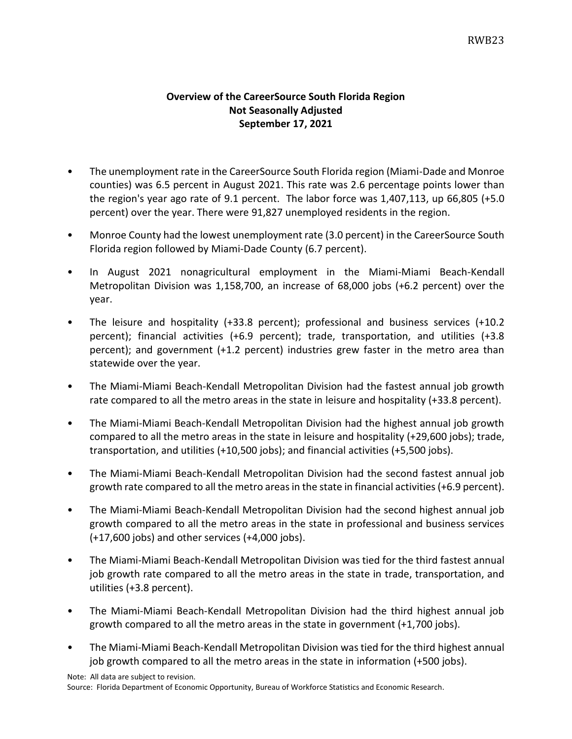## **Overview of the CareerSource South Florida Region Not Seasonally Adjusted September 17, 2021**

- The unemployment rate in the CareerSource South Florida region (Miami-Dade and Monroe counties) was 6.5 percent in August 2021. This rate was 2.6 percentage points lower than the region's year ago rate of 9.1 percent. The labor force was 1,407,113, up 66,805 (+5.0 percent) over the year. There were 91,827 unemployed residents in the region.
- Monroe County had the lowest unemployment rate (3.0 percent) in the CareerSource South Florida region followed by Miami-Dade County (6.7 percent).
- In August 2021 nonagricultural employment in the Miami-Miami Beach-Kendall Metropolitan Division was 1,158,700, an increase of 68,000 jobs (+6.2 percent) over the year.
- The leisure and hospitality (+33.8 percent); professional and business services (+10.2 percent); financial activities (+6.9 percent); trade, transportation, and utilities (+3.8 percent); and government (+1.2 percent) industries grew faster in the metro area than statewide over the year.
- The Miami-Miami Beach-Kendall Metropolitan Division had the fastest annual job growth rate compared to all the metro areas in the state in leisure and hospitality (+33.8 percent).
- The Miami-Miami Beach-Kendall Metropolitan Division had the highest annual job growth compared to all the metro areas in the state in leisure and hospitality (+29,600 jobs); trade, transportation, and utilities (+10,500 jobs); and financial activities (+5,500 jobs).
- The Miami-Miami Beach-Kendall Metropolitan Division had the second fastest annual job growth rate compared to all the metro areas in the state in financial activities (+6.9 percent).
- The Miami-Miami Beach-Kendall Metropolitan Division had the second highest annual job growth compared to all the metro areas in the state in professional and business services (+17,600 jobs) and other services (+4,000 jobs).
- The Miami-Miami Beach-Kendall Metropolitan Division was tied for the third fastest annual job growth rate compared to all the metro areas in the state in trade, transportation, and utilities (+3.8 percent).
- The Miami-Miami Beach-Kendall Metropolitan Division had the third highest annual job growth compared to all the metro areas in the state in government (+1,700 jobs).
- The Miami-Miami Beach-Kendall Metropolitan Division was tied for the third highest annual job growth compared to all the metro areas in the state in information (+500 jobs).

Note: All data are subject to revision.

Source: Florida Department of Economic Opportunity, Bureau of Workforce Statistics and Economic Research.